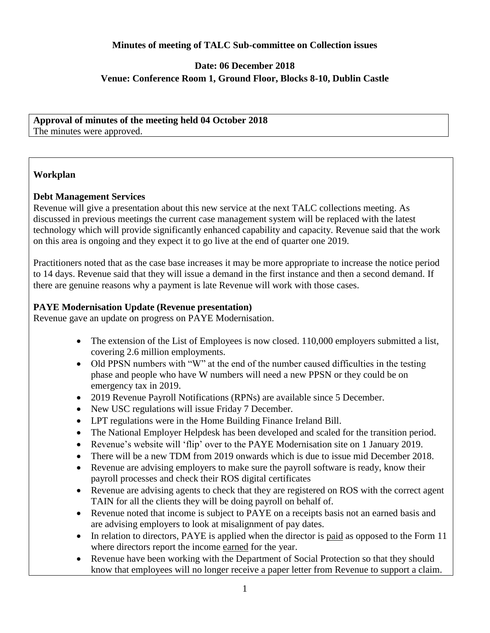### **Minutes of meeting of TALC Sub-committee on Collection issues**

# **Date: 06 December 2018 Venue: Conference Room 1, Ground Floor, Blocks 8-10, Dublin Castle**

### **Approval of minutes of the meeting held 04 October 2018** The minutes were approved.

## **Workplan**

## **Debt Management Services**

Revenue will give a presentation about this new service at the next TALC collections meeting. As discussed in previous meetings the current case management system will be replaced with the latest technology which will provide significantly enhanced capability and capacity. Revenue said that the work on this area is ongoing and they expect it to go live at the end of quarter one 2019.

Practitioners noted that as the case base increases it may be more appropriate to increase the notice period to 14 days. Revenue said that they will issue a demand in the first instance and then a second demand. If there are genuine reasons why a payment is late Revenue will work with those cases.

## **PAYE Modernisation Update (Revenue presentation)**

Revenue gave an update on progress on PAYE Modernisation.

- The extension of the List of Employees is now closed. 110,000 employers submitted a list, covering 2.6 million employments.
- Old PPSN numbers with "W" at the end of the number caused difficulties in the testing phase and people who have W numbers will need a new PPSN or they could be on emergency tax in 2019.
- 2019 Revenue Payroll Notifications (RPNs) are available since 5 December.
- New USC regulations will issue Friday 7 December.
- LPT regulations were in the Home Building Finance Ireland Bill.
- The National Employer Helpdesk has been developed and scaled for the transition period.
- Revenue's website will 'flip' over to the PAYE Modernisation site on 1 January 2019.
- There will be a new TDM from 2019 onwards which is due to issue mid December 2018.
- Revenue are advising employers to make sure the payroll software is ready, know their payroll processes and check their ROS digital certificates
- Revenue are advising agents to check that they are registered on ROS with the correct agent TAIN for all the clients they will be doing payroll on behalf of.
- Revenue noted that income is subject to PAYE on a receipts basis not an earned basis and are advising employers to look at misalignment of pay dates.
- In relation to directors, PAYE is applied when the director is paid as opposed to the Form 11 where directors report the income earned for the year.
- Revenue have been working with the Department of Social Protection so that they should know that employees will no longer receive a paper letter from Revenue to support a claim.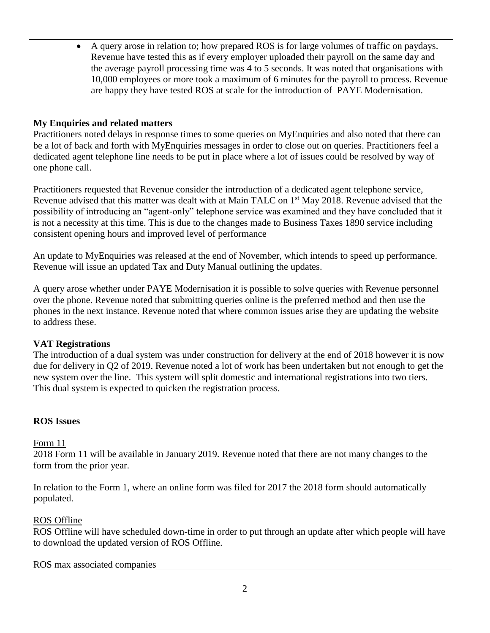• A query arose in relation to; how prepared ROS is for large volumes of traffic on paydays. Revenue have tested this as if every employer uploaded their payroll on the same day and the average payroll processing time was 4 to 5 seconds. It was noted that organisations with 10,000 employees or more took a maximum of 6 minutes for the payroll to process. Revenue are happy they have tested ROS at scale for the introduction of PAYE Modernisation.

## **My Enquiries and related matters**

Practitioners noted delays in response times to some queries on MyEnquiries and also noted that there can be a lot of back and forth with MyEnquiries messages in order to close out on queries. Practitioners feel a dedicated agent telephone line needs to be put in place where a lot of issues could be resolved by way of one phone call.

Practitioners requested that Revenue consider the introduction of a dedicated agent telephone service, Revenue advised that this matter was dealt with at Main TALC on 1<sup>st</sup> May 2018. Revenue advised that the possibility of introducing an "agent-only" telephone service was examined and they have concluded that it is not a necessity at this time. This is due to the changes made to Business Taxes 1890 service including consistent opening hours and improved level of performance

An update to MyEnquiries was released at the end of November, which intends to speed up performance. Revenue will issue an updated Tax and Duty Manual outlining the updates.

A query arose whether under PAYE Modernisation it is possible to solve queries with Revenue personnel over the phone. Revenue noted that submitting queries online is the preferred method and then use the phones in the next instance. Revenue noted that where common issues arise they are updating the website to address these.

## **VAT Registrations**

The introduction of a dual system was under construction for delivery at the end of 2018 however it is now due for delivery in Q2 of 2019. Revenue noted a lot of work has been undertaken but not enough to get the new system over the line. This system will split domestic and international registrations into two tiers. This dual system is expected to quicken the registration process.

# **ROS Issues**

## Form 11

2018 Form 11 will be available in January 2019. Revenue noted that there are not many changes to the form from the prior year.

In relation to the Form 1, where an online form was filed for 2017 the 2018 form should automatically populated.

# ROS Offline

ROS Offline will have scheduled down-time in order to put through an update after which people will have to download the updated version of ROS Offline.

ROS max associated companies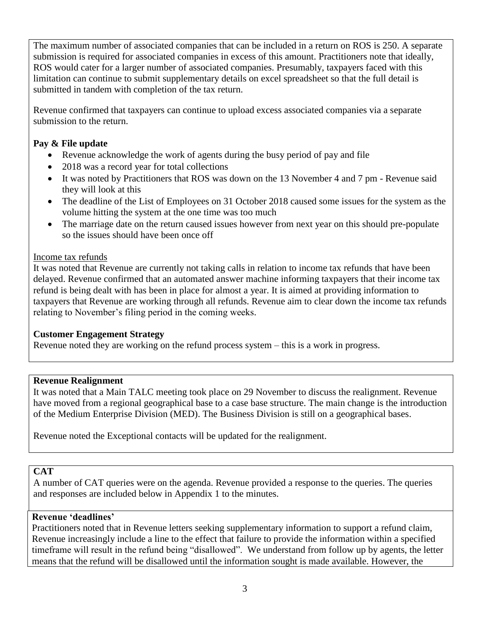The maximum number of associated companies that can be included in a return on ROS is 250. A separate submission is required for associated companies in excess of this amount. Practitioners note that ideally, ROS would cater for a larger number of associated companies. Presumably, taxpayers faced with this limitation can continue to submit supplementary details on excel spreadsheet so that the full detail is submitted in tandem with completion of the tax return.

Revenue confirmed that taxpayers can continue to upload excess associated companies via a separate submission to the return.

# **Pay & File update**

- Revenue acknowledge the work of agents during the busy period of pay and file
- 2018 was a record year for total collections
- It was noted by Practitioners that ROS was down on the 13 November 4 and 7 pm Revenue said they will look at this
- The deadline of the List of Employees on 31 October 2018 caused some issues for the system as the volume hitting the system at the one time was too much
- The marriage date on the return caused issues however from next year on this should pre-populate so the issues should have been once off

# Income tax refunds

It was noted that Revenue are currently not taking calls in relation to income tax refunds that have been delayed. Revenue confirmed that an automated answer machine informing taxpayers that their income tax refund is being dealt with has been in place for almost a year. It is aimed at providing information to taxpayers that Revenue are working through all refunds. Revenue aim to clear down the income tax refunds relating to November's filing period in the coming weeks.

# **Customer Engagement Strategy**

Revenue noted they are working on the refund process system – this is a work in progress.

# **Revenue Realignment**

It was noted that a Main TALC meeting took place on 29 November to discuss the realignment. Revenue have moved from a regional geographical base to a case base structure. The main change is the introduction of the Medium Enterprise Division (MED). The Business Division is still on a geographical bases.

Revenue noted the Exceptional contacts will be updated for the realignment.

# **CAT**

A number of CAT queries were on the agenda. Revenue provided a response to the queries. The queries and responses are included below in Appendix 1 to the minutes.

# **Revenue 'deadlines'**

Practitioners noted that in Revenue letters seeking supplementary information to support a refund claim, Revenue increasingly include a line to the effect that failure to provide the information within a specified timeframe will result in the refund being "disallowed". We understand from follow up by agents, the letter means that the refund will be disallowed until the information sought is made available. However, the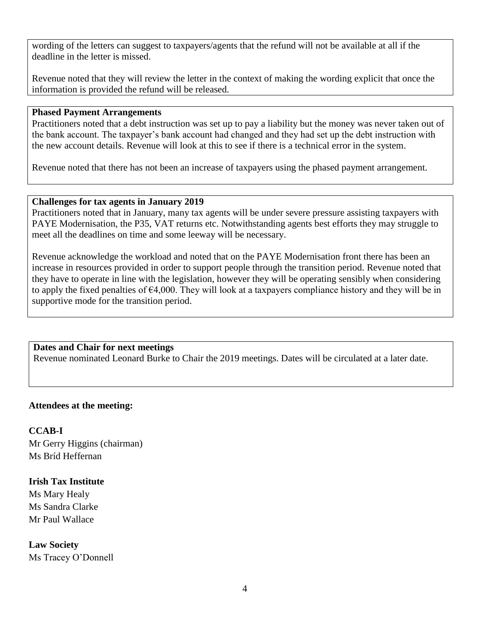wording of the letters can suggest to taxpayers/agents that the refund will not be available at all if the deadline in the letter is missed.

Revenue noted that they will review the letter in the context of making the wording explicit that once the information is provided the refund will be released.

### **Phased Payment Arrangements**

Practitioners noted that a debt instruction was set up to pay a liability but the money was never taken out of the bank account. The taxpayer's bank account had changed and they had set up the debt instruction with the new account details. Revenue will look at this to see if there is a technical error in the system.

Revenue noted that there has not been an increase of taxpayers using the phased payment arrangement.

### **Challenges for tax agents in January 2019**

Practitioners noted that in January, many tax agents will be under severe pressure assisting taxpayers with PAYE Modernisation, the P35, VAT returns etc. Notwithstanding agents best efforts they may struggle to meet all the deadlines on time and some leeway will be necessary.

Revenue acknowledge the workload and noted that on the PAYE Modernisation front there has been an increase in resources provided in order to support people through the transition period. Revenue noted that they have to operate in line with the legislation, however they will be operating sensibly when considering to apply the fixed penalties of €4,000. They will look at a taxpayers compliance history and they will be in supportive mode for the transition period.

## **Dates and Chair for next meetings**

Revenue nominated Leonard Burke to Chair the 2019 meetings. Dates will be circulated at a later date.

## **Attendees at the meeting:**

**CCAB-I** Mr Gerry Higgins (chairman) Ms Bríd Heffernan

## **Irish Tax Institute**

Ms Mary Healy Ms Sandra Clarke Mr Paul Wallace

**Law Society** Ms Tracey O'Donnell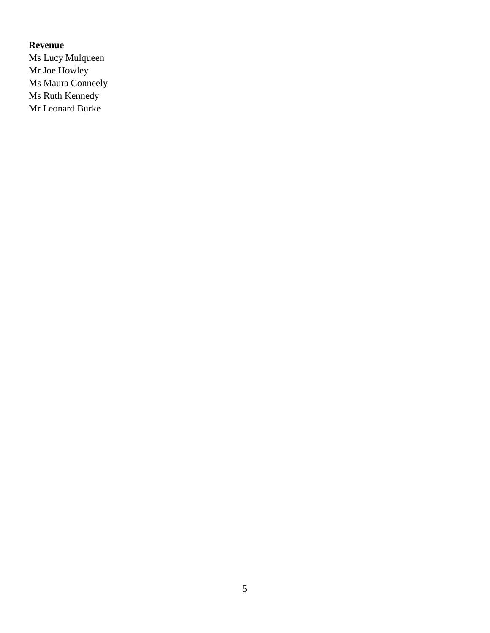# **Revenue**

Ms Lucy Mulqueen Mr Joe Howley Ms Maura Conneely Ms Ruth Kennedy Mr Leonard Burke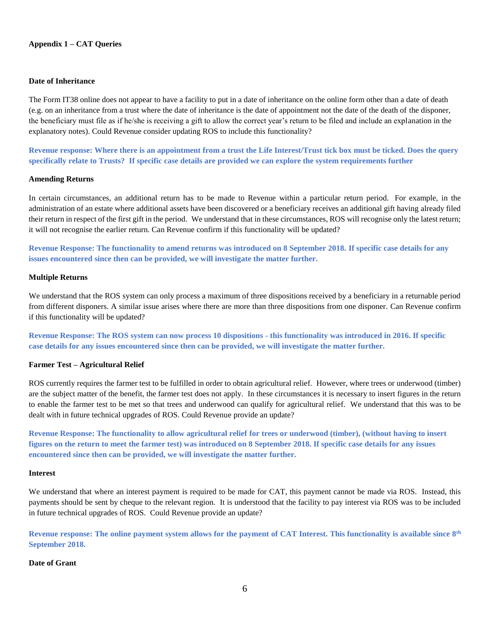#### **Appendix 1 – CAT Queries**

#### **Date of Inheritance**

The Form IT38 online does not appear to have a facility to put in a date of inheritance on the online form other than a date of death (e.g. on an inheritance from a trust where the date of inheritance is the date of appointment not the date of the death of the disponer, the beneficiary must file as if he/she is receiving a gift to allow the correct year's return to be filed and include an explanation in the explanatory notes). Could Revenue consider updating ROS to include this functionality?

**Revenue response: Where there is an appointment from a trust the Life Interest/Trust tick box must be ticked. Does the query specifically relate to Trusts? If specific case details are provided we can explore the system requirements further**

#### **Amending Returns**

In certain circumstances, an additional return has to be made to Revenue within a particular return period. For example, in the administration of an estate where additional assets have been discovered or a beneficiary receives an additional gift having already filed their return in respect of the first gift in the period. We understand that in these circumstances, ROS will recognise only the latest return; it will not recognise the earlier return. Can Revenue confirm if this functionality will be updated?

**Revenue Response: The functionality to amend returns was introduced on 8 September 2018. If specific case details for any issues encountered since then can be provided, we will investigate the matter further.**

#### **Multiple Returns**

We understand that the ROS system can only process a maximum of three dispositions received by a beneficiary in a returnable period from different disponers. A similar issue arises where there are more than three dispositions from one disponer. Can Revenue confirm if this functionality will be updated?

**Revenue Response: The ROS system can now process 10 dispositions - this functionality was introduced in 2016. If specific case details for any issues encountered since then can be provided, we will investigate the matter further.**

#### **Farmer Test – Agricultural Relief**

ROS currently requires the farmer test to be fulfilled in order to obtain agricultural relief. However, where trees or underwood (timber) are the subject matter of the benefit, the farmer test does not apply. In these circumstances it is necessary to insert figures in the return to enable the farmer test to be met so that trees and underwood can qualify for agricultural relief. We understand that this was to be dealt with in future technical upgrades of ROS. Could Revenue provide an update?

**Revenue Response: The functionality to allow agricultural relief for trees or underwood (timber), (without having to insert figures on the return to meet the farmer test) was introduced on 8 September 2018. If specific case details for any issues encountered since then can be provided, we will investigate the matter further.**

#### **Interest**

We understand that where an interest payment is required to be made for CAT, this payment cannot be made via ROS. Instead, this payments should be sent by cheque to the relevant region. It is understood that the facility to pay interest via ROS was to be included in future technical upgrades of ROS. Could Revenue provide an update?

**Revenue response: The online payment system allows for the payment of CAT Interest. This functionality is available since 8th September 2018.**

#### **Date of Grant**